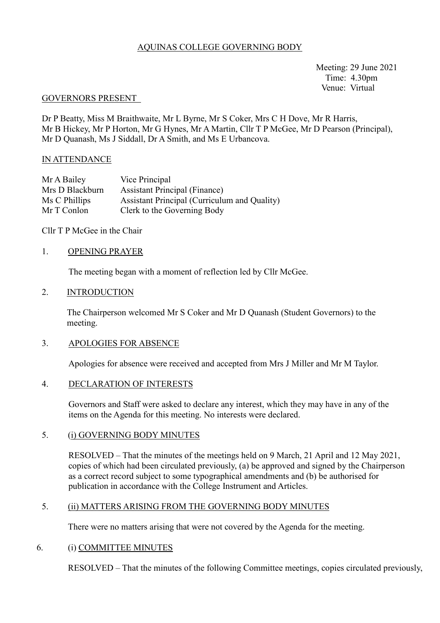## AQUINAS COLLEGE GOVERNING BODY

 Meeting: 29 June 2021 Time: 4.30pm Venue: Virtual

#### GOVERNORS PRESENT

Dr P Beatty, Miss M Braithwaite, Mr L Byrne, Mr S Coker, Mrs C H Dove, Mr R Harris, Mr B Hickey, Mr P Horton, Mr G Hynes, Mr A Martin, Cllr T P McGee, Mr D Pearson (Principal), Mr D Quanash, Ms J Siddall, Dr A Smith, and Ms E Urbancova.

#### IN ATTENDANCE

| Mr A Bailey     | Vice Principal                                      |
|-----------------|-----------------------------------------------------|
| Mrs D Blackburn | <b>Assistant Principal (Finance)</b>                |
| Ms C Phillips   | <b>Assistant Principal (Curriculum and Quality)</b> |
| Mr T Conlon     | Clerk to the Governing Body                         |

### Cllr T P McGee in the Chair

### 1. OPENING PRAYER

The meeting began with a moment of reflection led by Cllr McGee.

#### 2. INTRODUCTION

The Chairperson welcomed Mr S Coker and Mr D Quanash (Student Governors) to the meeting.

### 3. APOLOGIES FOR ABSENCE

Apologies for absence were received and accepted from Mrs J Miller and Mr M Taylor.

### 4. DECLARATION OF INTERESTS

Governors and Staff were asked to declare any interest, which they may have in any of the items on the Agenda for this meeting. No interests were declared.

### 5. (i) GOVERNING BODY MINUTES

RESOLVED – That the minutes of the meetings held on 9 March, 21 April and 12 May 2021, copies of which had been circulated previously, (a) be approved and signed by the Chairperson as a correct record subject to some typographical amendments and (b) be authorised for publication in accordance with the College Instrument and Articles.

## 5. (ii) MATTERS ARISING FROM THE GOVERNING BODY MINUTES

There were no matters arising that were not covered by the Agenda for the meeting.

### 6. (i) COMMITTEE MINUTES

RESOLVED – That the minutes of the following Committee meetings, copies circulated previously,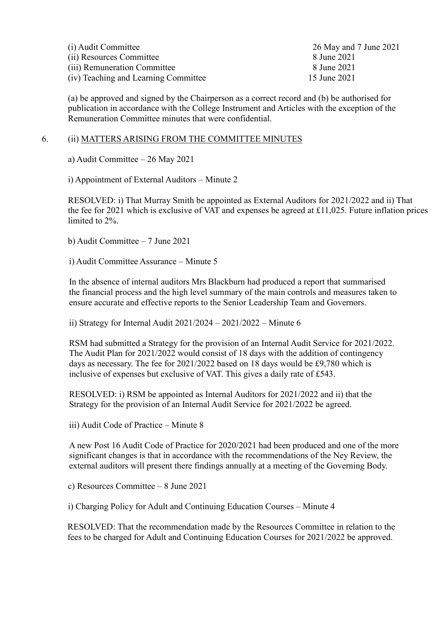| (i) Audit Committee                  | 26 May and 7 June 2021 |
|--------------------------------------|------------------------|
| (ii) Resources Committee             | 8 June 2021            |
| (iii) Remuneration Committee         | 8 June 2021            |
| (iv) Teaching and Learning Committee | 15 June 2021           |

(a) be approved and signed by the Chairperson as a correct record and (b) be authorised for publication in accordance with the College Instrument and Articles with the exception of the Remuneration Committee minutes that were confidential.

### 6. (ii) MATTERS ARISING FROM THE COMMITTEE MINUTES

a) Audit Committee – 26 May 2021

i) Appointment of External Auditors – Minute 2

RESOLVED: i) That Murray Smith be appointed as External Auditors for 2021/2022 and ii) That the fee for 2021 which is exclusive of VAT and expenses be agreed at £11,025. Future inflation prices limited to 2%.

b) Audit Committee – 7 June 2021

i) Audit Committee Assurance – Minute 5

In the absence of internal auditors Mrs Blackburn had produced a report that summarised the financial process and the high level summary of the main controls and measures taken to ensure accurate and effective reports to the Senior Leadership Team and Governors.

ii) Strategy for Internal Audit  $2021/2024 - 2021/2022 -$  Minute 6

RSM had submitted a Strategy for the provision of an Internal Audit Service for 2021/2022. The Audit Plan for 2021/2022 would consist of 18 days with the addition of contingency days as necessary. The fee for 2021/2022 based on 18 days would be £9,780 which is inclusive of expenses but exclusive of VAT. This gives a daily rate of £543.

RESOLVED: i) RSM be appointed as Internal Auditors for 2021/2022 and ii) that the Strategy for the provision of an Internal Audit Service for 2021/2022 be agreed.

iii) Audit Code of Practice – Minute 8

A new Post 16 Audit Code of Practice for 2020/2021 had been produced and one of the more significant changes is that in accordance with the recommendations of the Ney Review, the external auditors will present there findings annually at a meeting of the Governing Body.

c) Resources Committee – 8 June 2021

i) Charging Policy for Adult and Continuing Education Courses – Minute 4

 RESOLVED: That the recommendation made by the Resources Committee in relation to the fees to be charged for Adult and Continuing Education Courses for 2021/2022 be approved.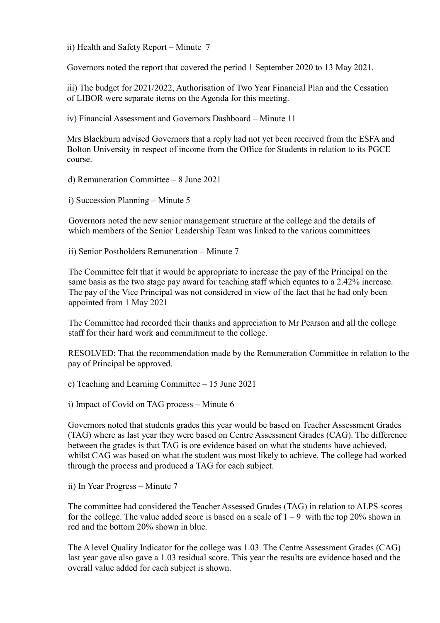ii) Health and Safety Report – Minute 7

Governors noted the report that covered the period 1 September 2020 to 13 May 2021.

iii) The budget for 2021/2022, Authorisation of Two Year Financial Plan and the Cessation of LIBOR were separate items on the Agenda for this meeting.

iv) Financial Assessment and Governors Dashboard – Minute 11

Mrs Blackburn advised Governors that a reply had not yet been received from the ESFA and Bolton University in respect of income from the Office for Students in relation to its PGCE course.

d) Remuneration Committee – 8 June 2021

i) Succession Planning – Minute 5

Governors noted the new senior management structure at the college and the details of which members of the Senior Leadership Team was linked to the various committees

ii) Senior Postholders Remuneration – Minute 7

The Committee felt that it would be appropriate to increase the pay of the Principal on the same basis as the two stage pay award for teaching staff which equates to a 2.42% increase. The pay of the Vice Principal was not considered in view of the fact that he had only been appointed from 1 May 2021

The Committee had recorded their thanks and appreciation to Mr Pearson and all the college staff for their hard work and commitment to the college.

RESOLVED: That the recommendation made by the Remuneration Committee in relation to the pay of Principal be approved.

e) Teaching and Learning Committee – 15 June 2021

i) Impact of Covid on TAG process – Minute 6

Governors noted that students grades this year would be based on Teacher Assessment Grades (TAG) where as last year they were based on Centre Assessment Grades (CAG). The difference between the grades is that TAG is ore evidence based on what the students have achieved, whilst CAG was based on what the student was most likely to achieve. The college had worked through the process and produced a TAG for each subject.

ii) In Year Progress – Minute 7

The committee had considered the Teacher Assessed Grades (TAG) in relation to ALPS scores for the college. The value added score is based on a scale of  $1 - 9$  with the top 20% shown in red and the bottom 20% shown in blue.

 The A level Quality Indicator for the college was 1.03. The Centre Assessment Grades (CAG) last year gave also gave a 1.03 residual score. This year the results are evidence based and the overall value added for each subject is shown.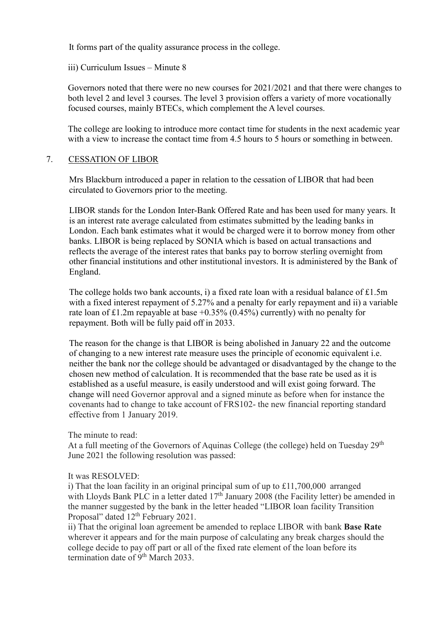It forms part of the quality assurance process in the college.

iii) Curriculum Issues – Minute 8

Governors noted that there were no new courses for 2021/2021 and that there were changes to both level 2 and level 3 courses. The level 3 provision offers a variety of more vocationally focused courses, mainly BTECs, which complement the A level courses.

 The college are looking to introduce more contact time for students in the next academic year with a view to increase the contact time from 4.5 hours to 5 hours or something in between.

## 7. CESSATION OF LIBOR

Mrs Blackburn introduced a paper in relation to the cessation of LIBOR that had been circulated to Governors prior to the meeting.

LIBOR stands for the London Inter-Bank Offered Rate and has been used for many years. It is an interest rate average calculated from estimates submitted by the leading banks in London. Each bank estimates what it would be charged were it to borrow money from other banks. LIBOR is being replaced by SONIA which is based on actual transactions and reflects the average of the interest rates that banks pay to borrow sterling overnight from other financial institutions and other institutional investors. It is administered by the Bank of England.

The college holds two bank accounts, i) a fixed rate loan with a residual balance of  $\text{\pounds}1.5m$ with a fixed interest repayment of 5.27% and a penalty for early repayment and ii) a variable rate loan of £1.2m repayable at base  $+0.35\%$  (0.45%) currently) with no penalty for repayment. Both will be fully paid off in 2033.

The reason for the change is that LIBOR is being abolished in January 22 and the outcome of changing to a new interest rate measure uses the principle of economic equivalent i.e. neither the bank nor the college should be advantaged or disadvantaged by the change to the chosen new method of calculation. It is recommended that the base rate be used as it is established as a useful measure, is easily understood and will exist going forward. The change will need Governor approval and a signed minute as before when for instance the covenants had to change to take account of FRS102- the new financial reporting standard effective from 1 January 2019.

The minute to read:

At a full meeting of the Governors of Aquinas College (the college) held on Tuesday 29<sup>th</sup> June 2021 the following resolution was passed:

### It was RESOLVED:

i) That the loan facility in an original principal sum of up to £11,700,000 arranged with Lloyds Bank PLC in a letter dated  $17<sup>th</sup>$  January 2008 (the Facility letter) be amended in the manner suggested by the bank in the letter headed "LIBOR loan facility Transition Proposal" dated 12<sup>th</sup> February 2021.

ii) That the original loan agreement be amended to replace LIBOR with bank **Base Rate** wherever it appears and for the main purpose of calculating any break charges should the college decide to pay off part or all of the fixed rate element of the loan before its termination date of 9<sup>th</sup> March 2033.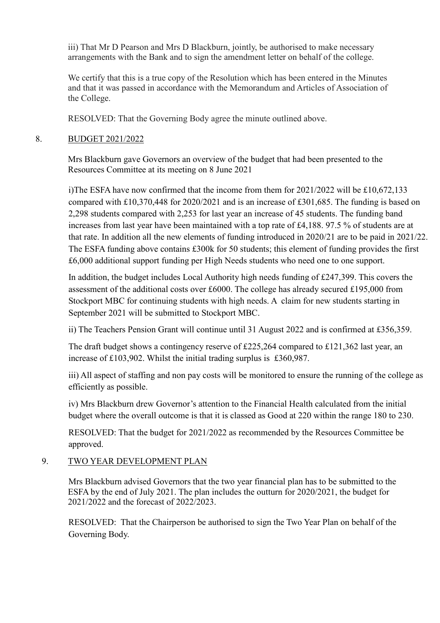iii) That Mr D Pearson and Mrs D Blackburn, jointly, be authorised to make necessary arrangements with the Bank and to sign the amendment letter on behalf of the college.

We certify that this is a true copy of the Resolution which has been entered in the Minutes and that it was passed in accordance with the Memorandum and Articles of Association of the College.

RESOLVED: That the Governing Body agree the minute outlined above.

# 8. BUDGET 2021/2022

 Mrs Blackburn gave Governors an overview of the budget that had been presented to the Resources Committee at its meeting on 8 June 2021

i)The ESFA have now confirmed that the income from them for 2021/2022 will be £10,672,133 compared with £10,370,448 for 2020/2021 and is an increase of £301,685. The funding is based on 2,298 students compared with 2,253 for last year an increase of 45 students. The funding band increases from last year have been maintained with a top rate of £4,188. 97.5 % of students are at that rate. In addition all the new elements of funding introduced in 2020/21 are to be paid in 2021/22. The ESFA funding above contains £300k for 50 students; this element of funding provides the first £6,000 additional support funding per High Needs students who need one to one support.

In addition, the budget includes Local Authority high needs funding of £247,399. This covers the assessment of the additional costs over £6000. The college has already secured £195,000 from Stockport MBC for continuing students with high needs. A claim for new students starting in September 2021 will be submitted to Stockport MBC.

ii) The Teachers Pension Grant will continue until 31 August 2022 and is confirmed at £356,359.

The draft budget shows a contingency reserve of £225,264 compared to £121,362 last year, an increase of £103,902. Whilst the initial trading surplus is £360,987.

iii) All aspect of staffing and non pay costs will be monitored to ensure the running of the college as efficiently as possible.

iv) Mrs Blackburn drew Governor's attention to the Financial Health calculated from the initial budget where the overall outcome is that it is classed as Good at 220 within the range 180 to 230.

RESOLVED: That the budget for 2021/2022 as recommended by the Resources Committee be approved.

# 9. TWO YEAR DEVELOPMENT PLAN

Mrs Blackburn advised Governors that the two year financial plan has to be submitted to the ESFA by the end of July 2021. The plan includes the outturn for 2020/2021, the budget for 2021/2022 and the forecast of 2022/2023.

RESOLVED: That the Chairperson be authorised to sign the Two Year Plan on behalf of the Governing Body.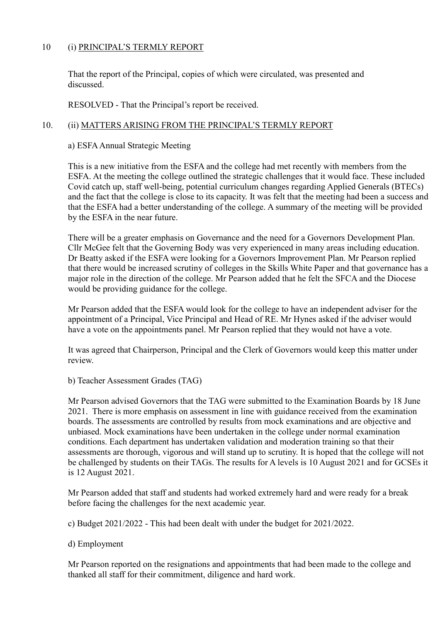# 10 (i) PRINCIPAL'S TERMLY REPORT

That the report of the Principal, copies of which were circulated, was presented and discussed.

RESOLVED - That the Principal's report be received.

## 10. (ii) MATTERS ARISING FROM THE PRINCIPAL'S TERMLY REPORT

## a) ESFA Annual Strategic Meeting

This is a new initiative from the ESFA and the college had met recently with members from the ESFA. At the meeting the college outlined the strategic challenges that it would face. These included Covid catch up, staff well-being, potential curriculum changes regarding Applied Generals (BTECs) and the fact that the college is close to its capacity. It was felt that the meeting had been a success and that the ESFA had a better understanding of the college. A summary of the meeting will be provided by the ESFA in the near future.

There will be a greater emphasis on Governance and the need for a Governors Development Plan. Cllr McGee felt that the Governing Body was very experienced in many areas including education. Dr Beatty asked if the ESFA were looking for a Governors Improvement Plan. Mr Pearson replied that there would be increased scrutiny of colleges in the Skills White Paper and that governance has a major role in the direction of the college. Mr Pearson added that he felt the SFCA and the Diocese would be providing guidance for the college.

Mr Pearson added that the ESFA would look for the college to have an independent adviser for the appointment of a Principal, Vice Principal and Head of RE. Mr Hynes asked if the adviser would have a vote on the appointments panel. Mr Pearson replied that they would not have a vote.

It was agreed that Chairperson, Principal and the Clerk of Governors would keep this matter under review.

b) Teacher Assessment Grades (TAG)

Mr Pearson advised Governors that the TAG were submitted to the Examination Boards by 18 June 2021. There is more emphasis on assessment in line with guidance received from the examination boards. The assessments are controlled by results from mock examinations and are objective and unbiased. Mock examinations have been undertaken in the college under normal examination conditions. Each department has undertaken validation and moderation training so that their assessments are thorough, vigorous and will stand up to scrutiny. It is hoped that the college will not be challenged by students on their TAGs. The results for A levels is 10 August 2021 and for GCSEs it is 12 August 2021.

Mr Pearson added that staff and students had worked extremely hard and were ready for a break before facing the challenges for the next academic year.

c) Budget 2021/2022 - This had been dealt with under the budget for 2021/2022.

### d) Employment

Mr Pearson reported on the resignations and appointments that had been made to the college and thanked all staff for their commitment, diligence and hard work.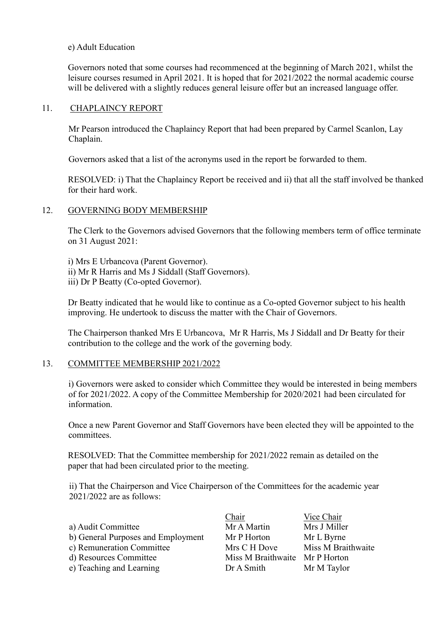### e) Adult Education

Governors noted that some courses had recommenced at the beginning of March 2021, whilst the leisure courses resumed in April 2021. It is hoped that for 2021/2022 the normal academic course will be delivered with a slightly reduces general leisure offer but an increased language offer.

### 11. CHAPLAINCY REPORT

Mr Pearson introduced the Chaplaincy Report that had been prepared by Carmel Scanlon, Lay Chaplain.

Governors asked that a list of the acronyms used in the report be forwarded to them.

RESOLVED: i) That the Chaplaincy Report be received and ii) that all the staff involved be thanked for their hard work.

## 12. GOVERNING BODY MEMBERSHIP

The Clerk to the Governors advised Governors that the following members term of office terminate on 31 August 2021:

i) Mrs E Urbancova (Parent Governor). ii) Mr R Harris and Ms J Siddall (Staff Governors). iii) Dr P Beatty (Co-opted Governor).

 Dr Beatty indicated that he would like to continue as a Co-opted Governor subject to his health improving. He undertook to discuss the matter with the Chair of Governors.

The Chairperson thanked Mrs E Urbancova, Mr R Harris, Ms J Siddall and Dr Beatty for their contribution to the college and the work of the governing body.

### 13. COMMITTEE MEMBERSHIP 2021/2022

i) Governors were asked to consider which Committee they would be interested in being members of for 2021/2022. A copy of the Committee Membership for 2020/2021 had been circulated for information.

Once a new Parent Governor and Staff Governors have been elected they will be appointed to the committees.

RESOLVED: That the Committee membership for 2021/2022 remain as detailed on the paper that had been circulated prior to the meeting.

ii) That the Chairperson and Vice Chairperson of the Committees for the academic year 2021/2022 are as follows:

| a) Audit Committee                 |
|------------------------------------|
| b) General Purposes and Employment |
| c) Remuneration Committee          |
| d) Resources Committee             |
| e) Teaching and Learning           |

Chair Vice Chair Mr A Martin Mrs J Miller Mr P Horton Mr L Byrne Mrs C H Dove Miss M Braithwaite Miss M Braithwaite Mr P Horton Dr A Smith Mr M Taylor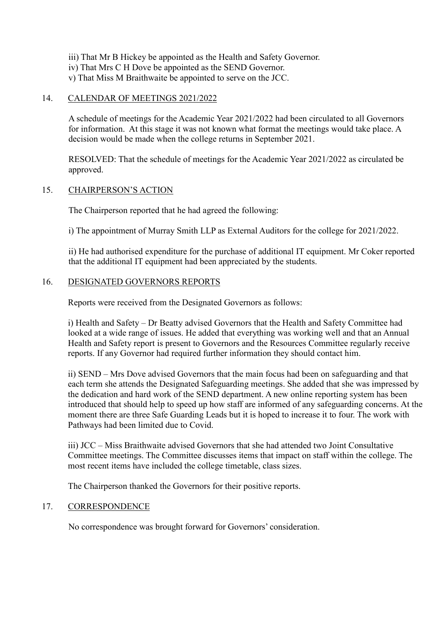- iii) That Mr B Hickey be appointed as the Health and Safety Governor.
- iv) That Mrs C H Dove be appointed as the SEND Governor.
- v) That Miss M Braithwaite be appointed to serve on the JCC.

## 14. CALENDAR OF MEETINGS 2021/2022

A schedule of meetings for the Academic Year 2021/2022 had been circulated to all Governors for information. At this stage it was not known what format the meetings would take place. A decision would be made when the college returns in September 2021.

RESOLVED: That the schedule of meetings for the Academic Year 2021/2022 as circulated be approved.

## 15. CHAIRPERSON'S ACTION

The Chairperson reported that he had agreed the following:

i) The appointment of Murray Smith LLP as External Auditors for the college for 2021/2022.

 ii) He had authorised expenditure for the purchase of additional IT equipment. Mr Coker reported that the additional IT equipment had been appreciated by the students.

## 16. DESIGNATED GOVERNORS REPORTS

Reports were received from the Designated Governors as follows:

 i) Health and Safety – Dr Beatty advised Governors that the Health and Safety Committee had looked at a wide range of issues. He added that everything was working well and that an Annual Health and Safety report is present to Governors and the Resources Committee regularly receive reports. If any Governor had required further information they should contact him.

ii) SEND – Mrs Dove advised Governors that the main focus had been on safeguarding and that each term she attends the Designated Safeguarding meetings. She added that she was impressed by the dedication and hard work of the SEND department. A new online reporting system has been introduced that should help to speed up how staff are informed of any safeguarding concerns. At the moment there are three Safe Guarding Leads but it is hoped to increase it to four. The work with Pathways had been limited due to Covid.

iii) JCC – Miss Braithwaite advised Governors that she had attended two Joint Consultative Committee meetings. The Committee discusses items that impact on staff within the college. The most recent items have included the college timetable, class sizes.

The Chairperson thanked the Governors for their positive reports.

### 17. CORRESPONDENCE

No correspondence was brought forward for Governors' consideration.